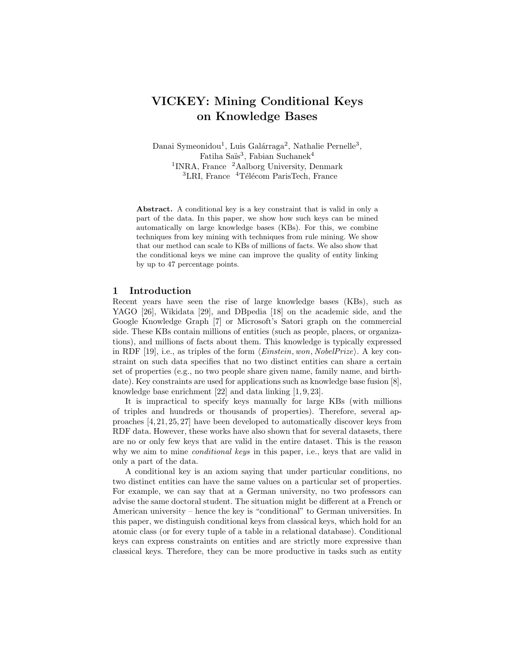# VICKEY: Mining Conditional Keys on Knowledge Bases

Danai Symeonidou<sup>1</sup>, Luis Galárraga<sup>2</sup>, Nathalie Pernelle<sup>3</sup>, Fatiha Saïs<sup>3</sup>, Fabian Suchanek<sup>4</sup> <sup>1</sup>INRA, France <sup>2</sup>Aalborg University, Denmark  ${}^{3}$ LRI, France  ${}^{4}$ Télécom ParisTech, France

Abstract. A conditional key is a key constraint that is valid in only a part of the data. In this paper, we show how such keys can be mined automatically on large knowledge bases (KBs). For this, we combine techniques from key mining with techniques from rule mining. We show that our method can scale to KBs of millions of facts. We also show that the conditional keys we mine can improve the quality of entity linking by up to 47 percentage points.

#### 1 Introduction

Recent years have seen the rise of large knowledge bases (KBs), such as YAGO [26], Wikidata [29], and DBpedia [18] on the academic side, and the Google Knowledge Graph [7] or Microsoft's Satori graph on the commercial side. These KBs contain millions of entities (such as people, places, or organizations), and millions of facts about them. This knowledge is typically expressed in RDF [19], i.e., as triples of the form  $\langle Einstein, won, NobelPrice\rangle$ . A key constraint on such data specifies that no two distinct entities can share a certain set of properties (e.g., no two people share given name, family name, and birthdate). Key constraints are used for applications such as knowledge base fusion [8], knowledge base enrichment [22] and data linking [1, 9, 23].

It is impractical to specify keys manually for large KBs (with millions of triples and hundreds or thousands of properties). Therefore, several approaches [4, 21, 25, 27] have been developed to automatically discover keys from RDF data. However, these works have also shown that for several datasets, there are no or only few keys that are valid in the entire dataset. This is the reason why we aim to mine *conditional keys* in this paper, i.e., keys that are valid in only a part of the data.

A conditional key is an axiom saying that under particular conditions, no two distinct entities can have the same values on a particular set of properties. For example, we can say that at a German university, no two professors can advise the same doctoral student. The situation might be different at a French or American university – hence the key is "conditional" to German universities. In this paper, we distinguish conditional keys from classical keys, which hold for an atomic class (or for every tuple of a table in a relational database). Conditional keys can express constraints on entities and are strictly more expressive than classical keys. Therefore, they can be more productive in tasks such as entity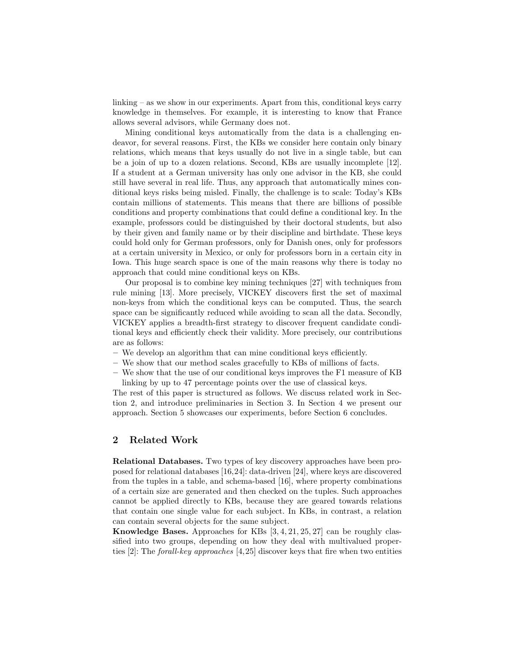linking – as we show in our experiments. Apart from this, conditional keys carry knowledge in themselves. For example, it is interesting to know that France allows several advisors, while Germany does not.

Mining conditional keys automatically from the data is a challenging endeavor, for several reasons. First, the KBs we consider here contain only binary relations, which means that keys usually do not live in a single table, but can be a join of up to a dozen relations. Second, KBs are usually incomplete [12]. If a student at a German university has only one advisor in the KB, she could still have several in real life. Thus, any approach that automatically mines conditional keys risks being misled. Finally, the challenge is to scale: Today's KBs contain millions of statements. This means that there are billions of possible conditions and property combinations that could define a conditional key. In the example, professors could be distinguished by their doctoral students, but also by their given and family name or by their discipline and birthdate. These keys could hold only for German professors, only for Danish ones, only for professors at a certain university in Mexico, or only for professors born in a certain city in Iowa. This huge search space is one of the main reasons why there is today no approach that could mine conditional keys on KBs.

Our proposal is to combine key mining techniques [27] with techniques from rule mining [13]. More precisely, VICKEY discovers first the set of maximal non-keys from which the conditional keys can be computed. Thus, the search space can be significantly reduced while avoiding to scan all the data. Secondly, VICKEY applies a breadth-first strategy to discover frequent candidate conditional keys and efficiently check their validity. More precisely, our contributions are as follows:

- We develop an algorithm that can mine conditional keys efficiently.
- We show that our method scales gracefully to KBs of millions of facts.
- We show that the use of our conditional keys improves the F1 measure of KB linking by up to 47 percentage points over the use of classical keys.

The rest of this paper is structured as follows. We discuss related work in Section 2, and introduce preliminaries in Section 3. In Section 4 we present our approach. Section 5 showcases our experiments, before Section 6 concludes.

# 2 Related Work

Relational Databases. Two types of key discovery approaches have been proposed for relational databases [16,24]: data-driven [24], where keys are discovered from the tuples in a table, and schema-based [16], where property combinations of a certain size are generated and then checked on the tuples. Such approaches cannot be applied directly to KBs, because they are geared towards relations that contain one single value for each subject. In KBs, in contrast, a relation can contain several objects for the same subject.

Knowledge Bases. Approaches for KBs [3, 4, 21, 25, 27] can be roughly classified into two groups, depending on how they deal with multivalued properties [2]: The forall-key approaches [4,25] discover keys that fire when two entities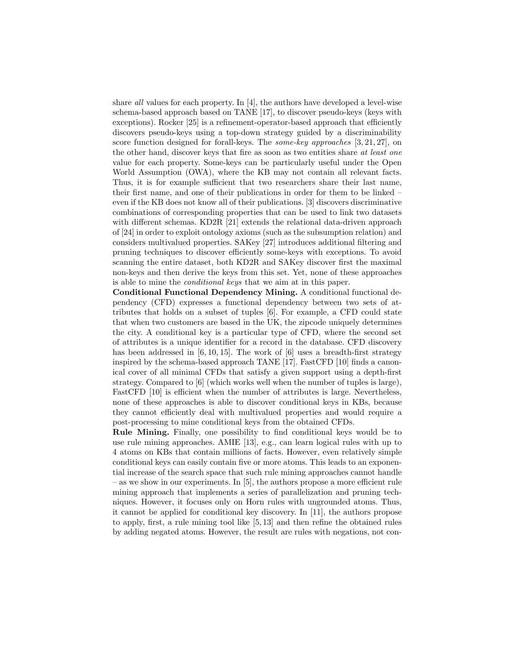share all values for each property. In  $[4]$ , the authors have developed a level-wise schema-based approach based on TANE [17], to discover pseudo-keys (keys with exceptions). Rocker [25] is a refinement-operator-based approach that efficiently discovers pseudo-keys using a top-down strategy guided by a discriminability score function designed for forall-keys. The *some-key approaches* [3, 21, 27], on the other hand, discover keys that fire as soon as two entities share at least one value for each property. Some-keys can be particularly useful under the Open World Assumption (OWA), where the KB may not contain all relevant facts. Thus, it is for example sufficient that two researchers share their last name, their first name, and one of their publications in order for them to be linked – even if the KB does not know all of their publications. [3] discovers discriminative combinations of corresponding properties that can be used to link two datasets with different schemas. KD2R [21] extends the relational data-driven approach of [24] in order to exploit ontology axioms (such as the subsumption relation) and considers multivalued properties. SAKey [27] introduces additional filtering and pruning techniques to discover efficiently some-keys with exceptions. To avoid scanning the entire dataset, both KD2R and SAKey discover first the maximal non-keys and then derive the keys from this set. Yet, none of these approaches is able to mine the conditional keys that we aim at in this paper.

Conditional Functional Dependency Mining. A conditional functional dependency (CFD) expresses a functional dependency between two sets of attributes that holds on a subset of tuples [6]. For example, a CFD could state that when two customers are based in the UK, the zipcode uniquely determines the city. A conditional key is a particular type of CFD, where the second set of attributes is a unique identifier for a record in the database. CFD discovery has been addressed in  $[6, 10, 15]$ . The work of  $[6]$  uses a breadth-first strategy inspired by the schema-based approach TANE [17]. FastCFD [10] finds a canonical cover of all minimal CFDs that satisfy a given support using a depth-first strategy. Compared to [6] (which works well when the number of tuples is large), FastCFD [10] is efficient when the number of attributes is large. Nevertheless, none of these approaches is able to discover conditional keys in KBs, because they cannot efficiently deal with multivalued properties and would require a post-processing to mine conditional keys from the obtained CFDs.

Rule Mining. Finally, one possibility to find conditional keys would be to use rule mining approaches. AMIE [13], e.g., can learn logical rules with up to 4 atoms on KBs that contain millions of facts. However, even relatively simple conditional keys can easily contain five or more atoms. This leads to an exponential increase of the search space that such rule mining approaches cannot handle – as we show in our experiments. In [5], the authors propose a more efficient rule mining approach that implements a series of parallelization and pruning techniques. However, it focuses only on Horn rules with ungrounded atoms. Thus, it cannot be applied for conditional key discovery. In [11], the authors propose to apply, first, a rule mining tool like [5, 13] and then refine the obtained rules by adding negated atoms. However, the result are rules with negations, not con-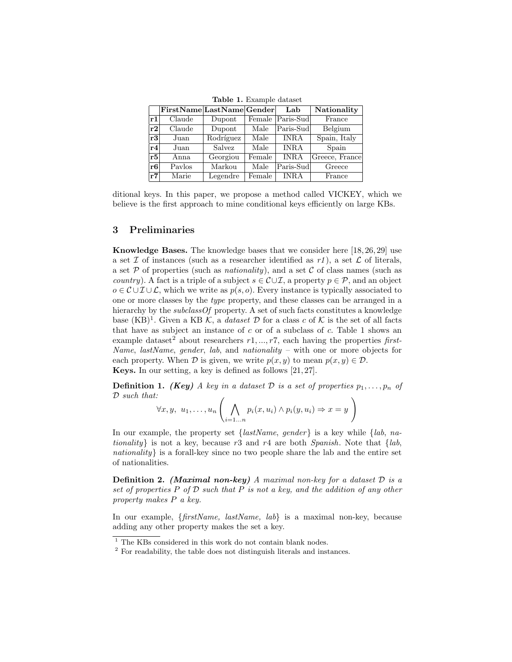|    | FirstName LastName Gender |           |        | Lab                             | Nationality    |
|----|---------------------------|-----------|--------|---------------------------------|----------------|
| r1 | Claude                    | Dupont    | Female | $\left \text{Paris-Sud}\right $ | France         |
| r2 | Claude                    | Dupont    | Male   | Paris-Sud                       | Belgium        |
| r3 | Juan                      | Rodríguez | Male   | <b>INRA</b>                     | Spain, Italy   |
| r4 | Juan                      | Salvez    | Male   | <b>INRA</b>                     | Spain          |
| r5 | Anna                      | Georgiou  | Female | <b>INRA</b>                     | Greece, France |
| r6 | Paylos                    | Markou    | Male   | Paris-Sud                       | Greece         |
| r7 | Marie                     | Legendre  | Female | <b>INRA</b>                     | France         |

Table 1. Example dataset

ditional keys. In this paper, we propose a method called VICKEY, which we believe is the first approach to mine conditional keys efficiently on large KBs.

# 3 Preliminaries

Knowledge Bases. The knowledge bases that we consider here [18, 26, 29] use a set  $\mathcal I$  of instances (such as a researcher identified as  $r/$ ), a set  $\mathcal L$  of literals, a set  $P$  of properties (such as *nationality*), and a set  $C$  of class names (such as *country*). A fact is a triple of a subject  $s \in \mathcal{C} \cup \mathcal{I}$ , a property  $p \in \mathcal{P}$ , and an object  $o \in \mathcal{C} \cup \mathcal{I} \cup \mathcal{L}$ , which we write as  $p(s, o)$ . Every instance is typically associated to one or more classes by the type property, and these classes can be arranged in a hierarchy by the *subclassOf* property. A set of such facts constitutes a knowledge base (KB)<sup>1</sup>. Given a KB  $K$ , a *dataset*  $D$  for a class  $c$  of  $K$  is the set of all facts that have as subject an instance of  $c$  or of a subclass of  $c$ . Table 1 shows an example dataset<sup>2</sup> about researchers  $r1, ..., r7$ , each having the properties first-Name, lastName, gender, lab, and nationality – with one or more objects for each property. When  $D$  is given, we write  $p(x, y)$  to mean  $p(x, y) \in D$ . Keys. In our setting, a key is defined as follows [21, 27].

**Definition 1.** (Key) A key in a dataset D is a set of properties  $p_1, \ldots, p_n$  of  ${\mathcal D}$  such that:

$$
\forall x, y, u_1, \ldots, u_n \left( \bigwedge_{i=1...n} p_i(x, u_i) \wedge p_i(y, u_i) \Rightarrow x = y \right)
$$

In our example, the property set  $\{lastName, gender\}$  is a key while  $\{lab, na-\}$ tionality is not a key, because r3 and r4 are both Spanish. Note that  $\{lab,$ nationality is a forall-key since no two people share the lab and the entire set of nationalities.

**Definition 2.** (Maximal non-key) A maximal non-key for a dataset  $D$  is a set of properties P of D such that P is not a key, and the addition of any other property makes P a key.

In our example, {firstName, lastName, lab} is a maximal non-key, because adding any other property makes the set a key.

 $\overline{1}$  The KBs considered in this work do not contain blank nodes.

<sup>2</sup> For readability, the table does not distinguish literals and instances.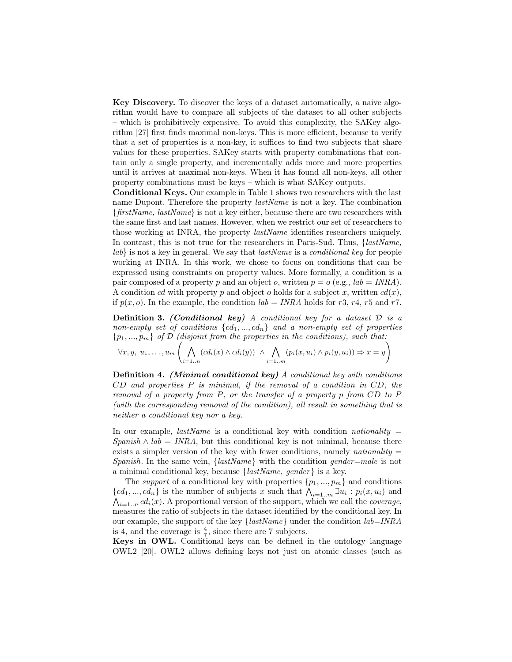Key Discovery. To discover the keys of a dataset automatically, a naive algorithm would have to compare all subjects of the dataset to all other subjects – which is prohibitively expensive. To avoid this complexity, the SAKey algorithm [27] first finds maximal non-keys. This is more efficient, because to verify that a set of properties is a non-key, it suffices to find two subjects that share values for these properties. SAKey starts with property combinations that contain only a single property, and incrementally adds more and more properties until it arrives at maximal non-keys. When it has found all non-keys, all other property combinations must be keys – which is what SAKey outputs.

Conditional Keys. Our example in Table 1 shows two researchers with the last name Dupont. Therefore the property *lastName* is not a key. The combination {firstName, lastName} is not a key either, because there are two researchers with the same first and last names. However, when we restrict our set of researchers to those working at INRA, the property lastName identifies researchers uniquely. In contrast, this is not true for the researchers in Paris-Sud. Thus, {lastName, lab} is not a key in general. We say that *lastName* is a *conditional key* for people working at INRA. In this work, we chose to focus on conditions that can be expressed using constraints on property values. More formally, a condition is a pair composed of a property p and an object o, written  $p = o$  (e.g.,  $lab = INRA$ ). A condition cd with property p and object o holds for a subject x, written  $cd(x)$ , if  $p(x, 0)$ . In the example, the condition  $lab = INRA$  holds for r3, r4, r5 and r7.

**Definition 3.** (Conditional key) A conditional key for a dataset  $D$  is a non-empty set of conditions  $\{cd_1, ..., cd_n\}$  and a non-empty set of properties  ${p_1, ..., p_m}$  of D (disjoint from the properties in the conditions), such that:

$$
\forall x, y, u_1, \ldots, u_m \left( \bigwedge_{i=1..n} (cd_i(x) \wedge cd_i(y)) \wedge \bigwedge_{i=1..m} (p_i(x, u_i) \wedge p_i(y, u_i)) \Rightarrow x = y \right)
$$

**Definition 4.** (Minimal conditional key) A conditional key with conditions  $CD$  and properties  $P$  is minimal, if the removal of a condition in  $CD$ , the removal of a property from P, or the transfer of a property p from CD to P (with the corresponding removal of the condition), all result in something that is neither a conditional key nor a key.

In our example, *lastName* is a conditional key with condition *nationality* = Spanish  $\wedge$  lab = INRA, but this conditional key is not minimal, because there exists a simpler version of the key with fewer conditions, namely *nationality*  $=$ Spanish. In the same vein,  $\{lastName\}$  with the condition gender=male is not a minimal conditional key, because  $\{lastName, gender\}$  is a key.

The *support* of a conditional key with properties  $\{p_1, ..., p_m\}$  and conditions  ${cd_1, ..., cd_n}$  is the number of subjects x such that  $\bigwedge_{i=1..m} \exists u_i : p_i(x, u_i)$  and  $\bigwedge_{i=1..n} cd_i(x)$ . A proportional version of the support, which we call the *coverage*, measures the ratio of subjects in the dataset identified by the conditional key. In our example, the support of the key  ${lastName}$  under the condition  $lab=INRA$ is 4, and the coverage is  $\frac{4}{7}$ , since there are 7 subjects.

Keys in OWL. Conditional keys can be defined in the ontology language OWL2 [20]. OWL2 allows defining keys not just on atomic classes (such as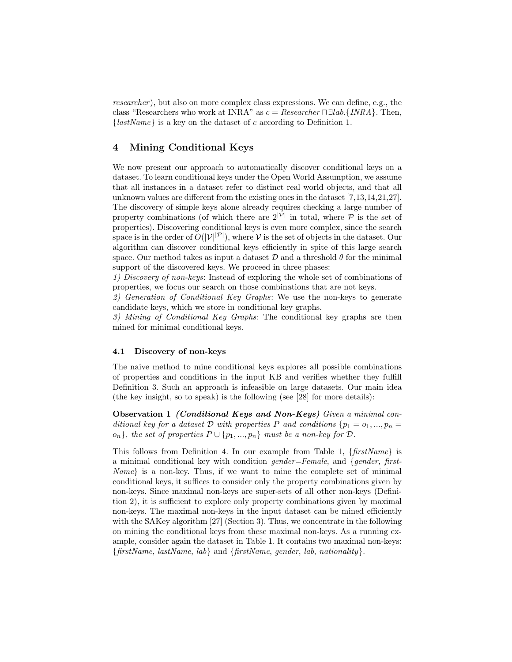researcher), but also on more complex class expressions. We can define, e.g., the class "Researchers who work at INRA" as  $c = Researcher \Box \exists lab.\{INRA\}$ . Then,  ${lastName}$  is a key on the dataset of c according to Definition 1.

# 4 Mining Conditional Keys

We now present our approach to automatically discover conditional keys on a dataset. To learn conditional keys under the Open World Assumption, we assume that all instances in a dataset refer to distinct real world objects, and that all unknown values are different from the existing ones in the dataset [7,13,14,21,27]. The discovery of simple keys alone already requires checking a large number of property combinations (of which there are  $2^{|\mathcal{P}|}$  in total, where  $\mathcal P$  is the set of properties). Discovering conditional keys is even more complex, since the search space is in the order of  $O(|\mathcal{V}|^{|\mathcal{P}|})$ , where V is the set of objects in the dataset. Our algorithm can discover conditional keys efficiently in spite of this large search space. Our method takes as input a dataset  $\mathcal D$  and a threshold  $\theta$  for the minimal support of the discovered keys. We proceed in three phases:

1) Discovery of non-keys: Instead of exploring the whole set of combinations of properties, we focus our search on those combinations that are not keys.

2) Generation of Conditional Key Graphs: We use the non-keys to generate candidate keys, which we store in conditional key graphs.

3) Mining of Conditional Key Graphs: The conditional key graphs are then mined for minimal conditional keys.

#### 4.1 Discovery of non-keys

The naive method to mine conditional keys explores all possible combinations of properties and conditions in the input KB and verifies whether they fulfill Definition 3. Such an approach is infeasible on large datasets. Our main idea (the key insight, so to speak) is the following (see [28] for more details):

Observation 1 (Conditional Keys and Non-Keys) Given a minimal conditional key for a dataset D with properties P and conditions  $\{p_1 = o_1, ..., p_n =$  $o_n$ , the set of properties  $P \cup \{p_1, ..., p_n\}$  must be a non-key for  $D$ .

This follows from Definition 4. In our example from Table 1,  $\{firstName\}$  is a minimal conditional key with condition  $gender = Female$ , and  $\{gender, first-\}$ Name} is a non-key. Thus, if we want to mine the complete set of minimal conditional keys, it suffices to consider only the property combinations given by non-keys. Since maximal non-keys are super-sets of all other non-keys (Definition 2), it is sufficient to explore only property combinations given by maximal non-keys. The maximal non-keys in the input dataset can be mined efficiently with the SAKey algorithm [27] (Section 3). Thus, we concentrate in the following on mining the conditional keys from these maximal non-keys. As a running example, consider again the dataset in Table 1. It contains two maximal non-keys:  $\{firstName, lastName, lab\}$  and  $\{firstName, gender, lab, nationality\}.$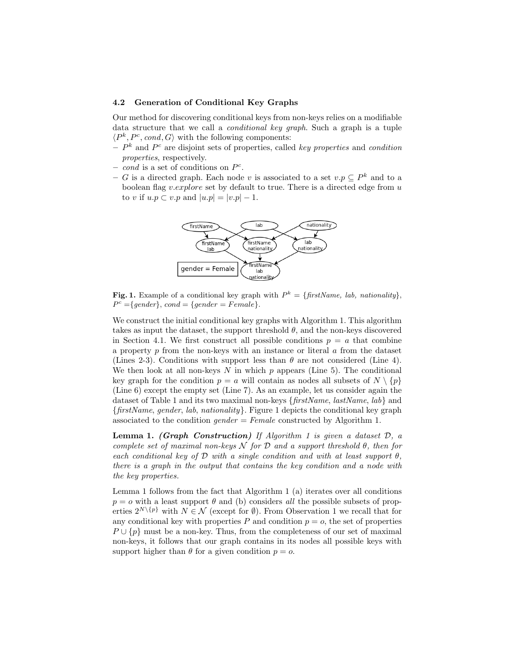#### 4.2 Generation of Conditional Key Graphs

Our method for discovering conditional keys from non-keys relies on a modifiable data structure that we call a conditional key graph. Such a graph is a tuple  $\langle P^k, P^c, cond, G \rangle$  with the following components:

- $-P<sup>k</sup>$  and  $P<sup>c</sup>$  are disjoint sets of properties, called key properties and condition properties, respectively.
- cond is a set of conditions on  $P^c$ .
- G is a directed graph. Each node v is associated to a set  $v.p \subseteq P^k$  and to a boolean flag v.explore set by default to true. There is a directed edge from  $u$ to v if  $u.p \subset v.p$  and  $|u.p| = |v.p| - 1$ .



**Fig. 1.** Example of a conditional key graph with  $P^k = \{firstName, lab, nationality\},\$  $P<sup>c</sup> = {gender}, cond = {gender = Female}.$ 

We construct the initial conditional key graphs with Algorithm 1. This algorithm takes as input the dataset, the support threshold  $\theta$ , and the non-keys discovered in Section 4.1. We first construct all possible conditions  $p = a$  that combine a property  $p$  from the non-keys with an instance or literal  $a$  from the dataset (Lines 2-3). Conditions with support less than  $\theta$  are not considered (Line 4). We then look at all non-keys N in which  $p$  appears (Line 5). The conditional key graph for the condition  $p = a$  will contain as nodes all subsets of  $N \setminus \{p\}$ (Line 6) except the empty set (Line 7). As an example, let us consider again the dataset of Table 1 and its two maximal non-keys {firstName, lastName, lab} and  $\{firstName, gender, lab, nationality\}$ . Figure 1 depicts the conditional key graph associated to the condition  $\varphi$ *ender* = Female constructed by Algorithm 1.

**Lemma 1.** (Graph Construction) If Algorithm 1 is given a dataset  $D$ , a complete set of maximal non-keys  $\mathcal N$  for  $\mathcal D$  and a support threshold  $\theta$ , then for each conditional key of  $\mathcal D$  with a single condition and with at least support  $\theta$ , there is a graph in the output that contains the key condition and a node with the key properties.

Lemma 1 follows from the fact that Algorithm 1 (a) iterates over all conditions  $p = o$  with a least support  $\theta$  and (b) considers all the possible subsets of properties  $2^{N\setminus\{p\}}$  with  $N \in \mathcal{N}$  (except for  $\emptyset$ ). From Observation 1 we recall that for any conditional key with properties  $P$  and condition  $p = o$ , the set of properties  $P \cup \{p\}$  must be a non-key. Thus, from the completeness of our set of maximal non-keys, it follows that our graph contains in its nodes all possible keys with support higher than  $\theta$  for a given condition  $p = 0$ .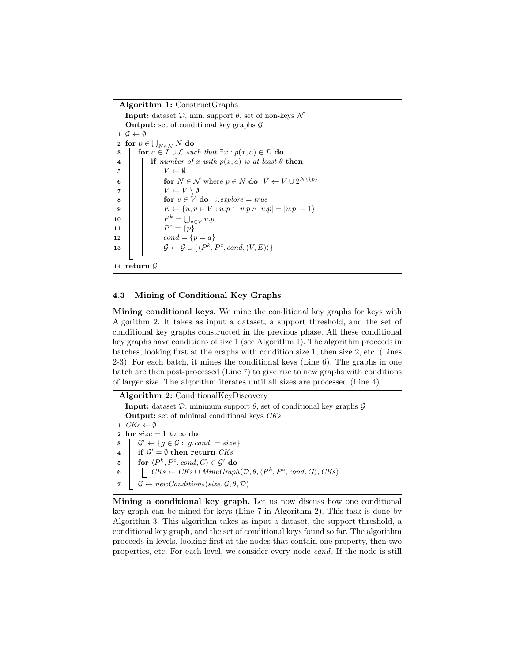#### Algorithm 1: ConstructGraphs

**Input:** dataset  $\mathcal{D}$ , min. support  $\theta$ , set of non-keys  $\mathcal{N}$ **Output:** set of conditional key graphs  $\mathcal{G}$  $1 \mathcal{G} \leftarrow \emptyset$  $\mathbf 2~ \textbf{ for }p\in \bigcup_{N\in \mathcal N}N~\textbf{do}$ 3 for  $a \in \mathcal{I} \cup \mathcal{L}$  such that  $\exists x : p(x, a) \in \mathcal{D}$  do 4 if number of x with  $p(x, a)$  is at least  $\theta$  then  $5$  | |  $V \leftarrow \emptyset$ 6  $\Box$  for  $N \in \mathcal{N}$  where  $p \in N$  do  $V \leftarrow V \cup 2^{N \setminus \{p\}}$  $\mathbf{r}$  | |  $V \leftarrow V \setminus \emptyset$ 8 **b for**  $v \in V$  **do**  $v.\text{explore} = \text{true}$ 9  $\vert \vert \vert E \leftarrow \{u, v \in V : u.p \subset v.p \land |u.p| = |v.p| - 1\}$  $\begin{array}{|c|c|c|c|}\n\hline\n\textbf{10} & & P^k=\bigcup_{v\in V}v.p \end{array}$ 11 | |  $P^c = \{p\}$ 12 | |  $cond = \{p = a\}$ 13  $\Big| \Big| \Big| \mathcal{G} \leftarrow \mathcal{G} \cup \{ \langle P^k, P^c, cond, (V, E) \rangle \}$ 14 return  $G$ 

### 4.3 Mining of Conditional Key Graphs

Mining conditional keys. We mine the conditional key graphs for keys with Algorithm 2. It takes as input a dataset, a support threshold, and the set of conditional key graphs constructed in the previous phase. All these conditional key graphs have conditions of size 1 (see Algorithm 1). The algorithm proceeds in batches, looking first at the graphs with condition size 1, then size 2, etc. (Lines 2-3). For each batch, it mines the conditional keys (Line 6). The graphs in one batch are then post-processed (Line 7) to give rise to new graphs with conditions of larger size. The algorithm iterates until all sizes are processed (Line 4).

Algorithm 2: ConditionalKeyDiscovery **Input:** dataset  $\mathcal{D}$ , minimum support  $\theta$ , set of conditional key graphs  $\mathcal{G}$ Output: set of minimal conditional keys CKs 1  $CKs \leftarrow \emptyset$ 2 for  $size = 1$  to  $\infty$  do  $\mathbf{3} \quad | \quad \mathcal{G}' \leftarrow \{ g \in \mathcal{G} : |g.\text{cond}| = \text{size} \}$  $4 \parallel \text{if } \mathcal{G}' = \emptyset \text{ then return } CKs$  $\begin{array}{l} \textbf{5} \end{array} \ \big| \ \ \ \textbf{for} \ \langle P^k, P^c, \textit{cond}, G \rangle \in \mathcal{G}' \ \textbf{do}$ 6  $\blacksquare$   $CKs \leftarrow CKs \cup MineGraph(D, \theta, \langle P^k, P^c, cond, G \rangle, CKs)$ 7  $\mathcal{G} \leftarrow newConditions(size, \mathcal{G}, \theta, \mathcal{D})$ 

Mining a conditional key graph. Let us now discuss how one conditional key graph can be mined for keys (Line 7 in Algorithm 2). This task is done by Algorithm 3. This algorithm takes as input a dataset, the support threshold, a conditional key graph, and the set of conditional keys found so far. The algorithm proceeds in levels, looking first at the nodes that contain one property, then two properties, etc. For each level, we consider every node cand. If the node is still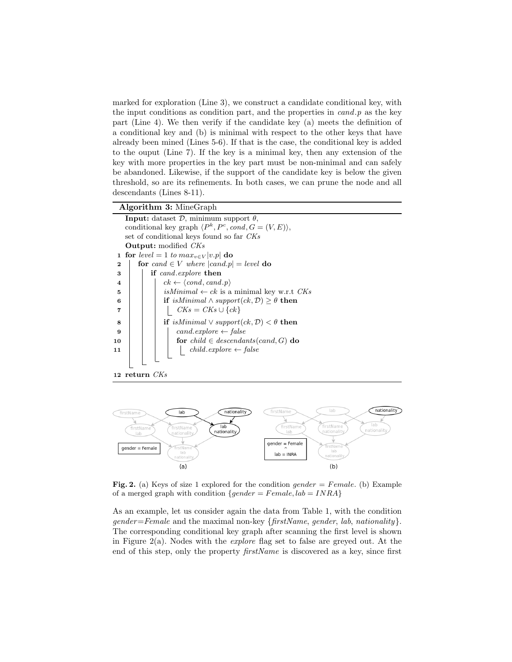marked for exploration (Line 3), we construct a candidate conditional key, with the input conditions as condition part, and the properties in  $cand.p$  as the key part (Line 4). We then verify if the candidate key (a) meets the definition of a conditional key and (b) is minimal with respect to the other keys that have already been mined (Lines 5-6). If that is the case, the conditional key is added to the ouput (Line 7). If the key is a minimal key, then any extension of the key with more properties in the key part must be non-minimal and can safely be abandoned. Likewise, if the support of the candidate key is below the given threshold, so are its refinements. In both cases, we can prune the node and all descendants (Lines 8-11).

| <b>Algorithm 3:</b> MineGraph                                           |  |  |  |  |  |
|-------------------------------------------------------------------------|--|--|--|--|--|
| <b>Input:</b> dataset $\mathcal{D}$ , minimum support $\theta$ ,        |  |  |  |  |  |
| conditional key graph $\langle P^k, P^c, cond, G = (V, E) \rangle$ ,    |  |  |  |  |  |
| set of conditional keys found so far CKs                                |  |  |  |  |  |
| <b>Output:</b> modified <i>CKs</i>                                      |  |  |  |  |  |
| <b>1</b> for $level = 1$ to $max_{v \in V}  v.p $ do                    |  |  |  |  |  |
| for cand $\in V$ where $ cand.p  = level$ do<br>$\mathbf 2$             |  |  |  |  |  |
| if cand.explore then<br>3                                               |  |  |  |  |  |
| $ck \leftarrow \langle cond, cand, p \rangle$<br>$\overline{\bf 4}$     |  |  |  |  |  |
| is $Minimal \leftarrow ck$ is a minimal key w.r.t CKs<br>5              |  |  |  |  |  |
| if is Minimal $\land$ support $(ck, \mathcal{D}) \geq \theta$ then<br>6 |  |  |  |  |  |
| $CKs = CKs \cup \{ck\}$<br>7                                            |  |  |  |  |  |
| if is Minimal $\vee$ support $(ck, \mathcal{D}) < \theta$ then<br>8     |  |  |  |  |  |
| $cand.\nexphere \leftarrow false$<br>9                                  |  |  |  |  |  |
| for child $\in$ descendants (cand, G) do<br>10                          |  |  |  |  |  |
| $child.\nexplore \leftarrow false$<br>11                                |  |  |  |  |  |
|                                                                         |  |  |  |  |  |
| 12 return CKs                                                           |  |  |  |  |  |



Fig. 2. (a) Keys of size 1 explored for the condition  $gender = Female$ . (b) Example of a merged graph with condition  $\{gender = Female, lab = INRA\}$ 

As an example, let us consider again the data from Table 1, with the condition  $gender = Female$  and the maximal non-key  $\{firstName, gender, lab, nationality\}.$ The corresponding conditional key graph after scanning the first level is shown in Figure 2(a). Nodes with the explore flag set to false are greyed out. At the end of this step, only the property  $firstName$  is discovered as a key, since first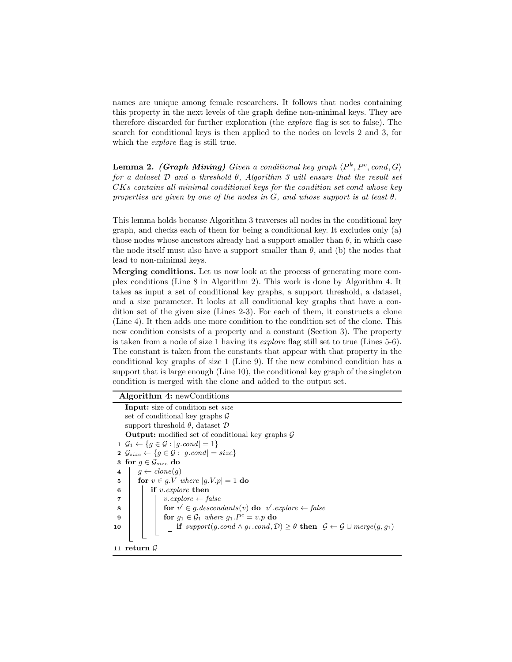names are unique among female researchers. It follows that nodes containing this property in the next levels of the graph define non-minimal keys. They are therefore discarded for further exploration (the explore flag is set to false). The search for conditional keys is then applied to the nodes on levels 2 and 3, for which the *explore* flag is still true.

**Lemma 2.** (Graph Mining) Given a conditional key graph  $\langle P^k, P^c, cond, G \rangle$ for a dataset  $D$  and a threshold  $\theta$ , Algorithm 3 will ensure that the result set CKs contains all minimal conditional keys for the condition set cond whose key properties are given by one of the nodes in  $G$ , and whose support is at least  $\theta$ .

This lemma holds because Algorithm 3 traverses all nodes in the conditional key graph, and checks each of them for being a conditional key. It excludes only (a) those nodes whose ancestors already had a support smaller than  $\theta$ , in which case the node itself must also have a support smaller than  $\theta$ , and (b) the nodes that lead to non-minimal keys.

Merging conditions. Let us now look at the process of generating more complex conditions (Line 8 in Algorithm 2). This work is done by Algorithm 4. It takes as input a set of conditional key graphs, a support threshold, a dataset, and a size parameter. It looks at all conditional key graphs that have a condition set of the given size (Lines 2-3). For each of them, it constructs a clone (Line 4). It then adds one more condition to the condition set of the clone. This new condition consists of a property and a constant (Section 3). The property is taken from a node of size 1 having its explore flag still set to true (Lines 5-6). The constant is taken from the constants that appear with that property in the conditional key graphs of size 1 (Line 9). If the new combined condition has a support that is large enough (Line 10), the conditional key graph of the singleton condition is merged with the clone and added to the output set.

Input: size of condition set size set of conditional key graphs G support threshold  $\theta$ , dataset  $\mathcal D$ **Output:** modified set of conditional key graphs  $\mathcal{G}$ 1  $\mathcal{G}_1 \leftarrow \{g \in \mathcal{G} : |g \text{.cond}| = 1\}$ 2  $\mathcal{G}_{size} \leftarrow \{g \in \mathcal{G} : |g.cond| = size\}$ 3 for  $g \in \mathcal{G}_{size}$  do  $4 \mid g \leftarrow clone(g)$ 5 for  $v \in g.V$  where  $|g.V.p|=1$  do  $\begin{array}{c|c} 6 & \text{if } v.\text{explore then} \end{array}$ 7 | |  $v.\text{explore} \leftarrow \text{false}$ 8 **b for**  $v' \in g$ .descendants(v) **do** v'.explore  $\leftarrow$  false 9 **b for**  $g_1 \in \mathcal{G}_1$  where  $g_1.P^c = v.p$  do 10 | | | if  $support(g.cond \land g_1.cond, \mathcal{D}) \geq \theta$  then  $\mathcal{G} \leftarrow \mathcal{G} \cup merge(g, g_1)$ 11 return  $\mathcal G$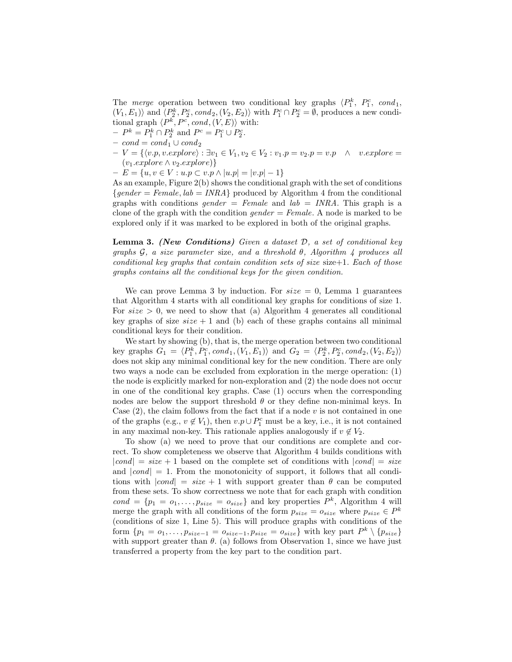The merge operation between two conditional key graphs  $\langle P_1^k, P_1^c, cond_1,$  $(V_1, E_1)$  and  $\langle P_2^k, P_2^c, cond_2, (V_2, E_2) \rangle$  with  $P_1^c \cap P_2^c = \emptyset$ , produces a new conditional graph  $\langle P^k, P^c, cond, (V, E) \rangle$  with:

- $-P^k = P_1^k \cap P_2^k$  and  $P^c = P_1^c \cup P_2^c$ .
- $cond = cond_1 \cup cond_2$
- $-V = \{ \langle v.p, v. explore \rangle : \exists v_1 \in V_1, v_2 \in V_2 : v_1.p = v_2.p = v.p \quad \land \quad v. explore =$  $(v_1 \ldots \text{explore} \land v_2 \ldots \text{explore})$
- E = {u, v ∈ V : u.p ⊂ v.p ∧ |u.p| = |v.p| − 1}

As an example, Figure 2(b) shows the conditional graph with the set of conditions  ${gender = Female, lab = INRA}$  produced by Algorithm 4 from the conditional graphs with conditions gender = Female and  $lab = INRA$ . This graph is a clone of the graph with the condition  $qender = Female$ . A node is marked to be explored only if it was marked to be explored in both of the original graphs.

**Lemma 3.** (New Conditions) Given a dataset  $D$ , a set of conditional key graphs  $G$ , a size parameter size, and a threshold  $\theta$ , Algorithm 4 produces all conditional key graphs that contain condition sets of size size+1. Each of those graphs contains all the conditional keys for the given condition.

We can prove Lemma 3 by induction. For  $size = 0$ , Lemma 1 guarantees that Algorithm 4 starts with all conditional key graphs for conditions of size 1. For  $size > 0$ , we need to show that (a) Algorithm 4 generates all conditional key graphs of size  $size + 1$  and (b) each of these graphs contains all minimal conditional keys for their condition.

We start by showing (b), that is, the merge operation between two conditional key graphs  $G_1 = \langle P_1^k, P_1^c, cond_1, (V_1, E_1) \rangle$  and  $G_2 = \langle P_2^k, P_2^c, cond_2, (V_2, E_2) \rangle$ does not skip any minimal conditional key for the new condition. There are only two ways a node can be excluded from exploration in the merge operation: (1) the node is explicitly marked for non-exploration and (2) the node does not occur in one of the conditional key graphs. Case (1) occurs when the corresponding nodes are below the support threshold  $\theta$  or they define non-minimal keys. In Case  $(2)$ , the claim follows from the fact that if a node v is not contained in one of the graphs (e.g.,  $v \notin V_1$ ), then  $v.p \cup P_1^c$  must be a key, i.e., it is not contained in any maximal non-key. This rationale applies analogously if  $v \notin V_2$ .

To show (a) we need to prove that our conditions are complete and correct. To show completeness we observe that Algorithm 4 builds conditions with  $|cond| = size + 1$  based on the complete set of conditions with  $|cond| = size$ and  $|cond| = 1$ . From the monotonicity of support, it follows that all conditions with  $|cond| = size + 1$  with support greater than  $\theta$  can be computed from these sets. To show correctness we note that for each graph with condition  $cond = \{p_1 = o_1, \ldots, p_{size} = o_{size}\}\$ and key properties  $P^k$ , Algorithm 4 will merge the graph with all conditions of the form  $p_{size} = o_{size}$  where  $p_{size} \in P^k$ (conditions of size 1, Line 5). This will produce graphs with conditions of the form  $\{p_1 = o_1, \ldots, p_{size-1} = o_{size-1}, p_{size} = o_{size}\}\$  with key part  $P^k \setminus \{p_{size}\}\$ with support greater than  $\theta$ . (a) follows from Observation 1, since we have just transferred a property from the key part to the condition part.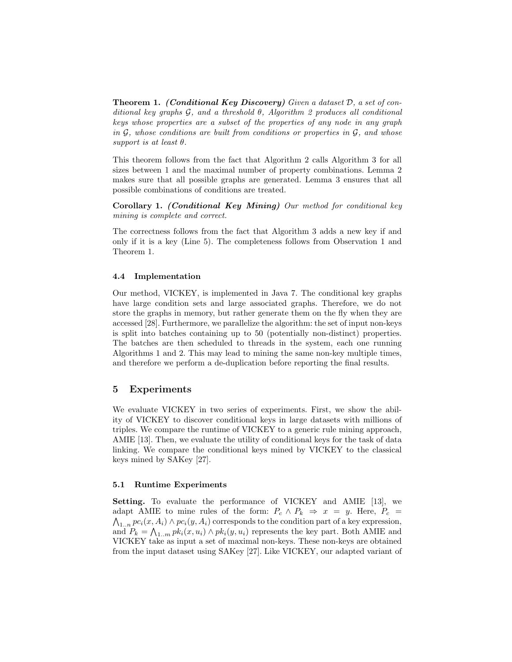**Theorem 1.** (Conditional Key Discovery) Given a dataset  $\mathcal{D}$ , a set of conditional key graphs  $\mathcal{G}$ , and a threshold  $\theta$ , Algorithm 2 produces all conditional keys whose properties are a subset of the properties of any node in any graph in  $G$ , whose conditions are built from conditions or properties in  $G$ , and whose support is at least  $\theta$ .

This theorem follows from the fact that Algorithm 2 calls Algorithm 3 for all sizes between 1 and the maximal number of property combinations. Lemma 2 makes sure that all possible graphs are generated. Lemma 3 ensures that all possible combinations of conditions are treated.

Corollary 1. (Conditional Key Mining) Our method for conditional key mining is complete and correct.

The correctness follows from the fact that Algorithm 3 adds a new key if and only if it is a key (Line 5). The completeness follows from Observation 1 and Theorem 1.

## 4.4 Implementation

Our method, VICKEY, is implemented in Java 7. The conditional key graphs have large condition sets and large associated graphs. Therefore, we do not store the graphs in memory, but rather generate them on the fly when they are accessed [28]. Furthermore, we parallelize the algorithm: the set of input non-keys is split into batches containing up to 50 (potentially non-distinct) properties. The batches are then scheduled to threads in the system, each one running Algorithms 1 and 2. This may lead to mining the same non-key multiple times, and therefore we perform a de-duplication before reporting the final results.

# 5 Experiments

We evaluate VICKEY in two series of experiments. First, we show the ability of VICKEY to discover conditional keys in large datasets with millions of triples. We compare the runtime of VICKEY to a generic rule mining approach, AMIE [13]. Then, we evaluate the utility of conditional keys for the task of data linking. We compare the conditional keys mined by VICKEY to the classical keys mined by SAKey [27].

## 5.1 Runtime Experiments

Setting. To evaluate the performance of VICKEY and AMIE [13], we adapt AMIE to mine rules of the form:  $P_c \wedge P_k \Rightarrow x = y$ . Here,  $P_c =$  $\bigwedge_{1..n} pc_i(x, A_i) \wedge pc_i(y, A_i)$  corresponds to the condition part of a key expression, and  $P_k = \bigwedge_{1 \dots m} pk_i(x, u_i) \wedge pk_i(y, u_i)$  represents the key part. Both AMIE and VICKEY take as input a set of maximal non-keys. These non-keys are obtained from the input dataset using SAKey [27]. Like VICKEY, our adapted variant of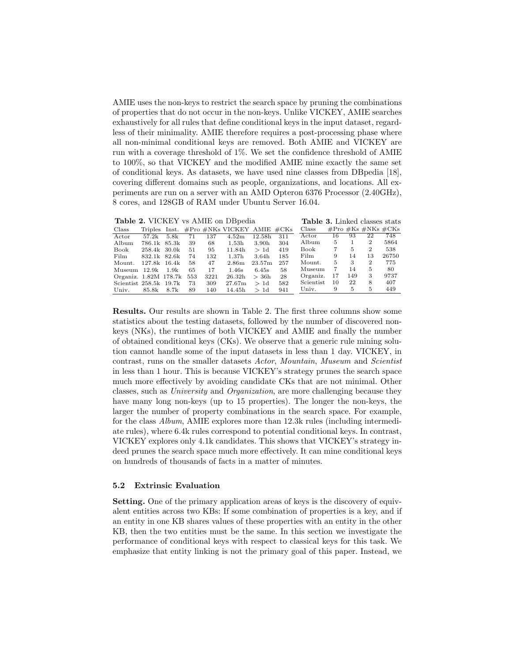AMIE uses the non-keys to restrict the search space by pruning the combinations of properties that do not occur in the non-keys. Unlike VICKEY, AMIE searches exhaustively for all rules that define conditional keys in the input dataset, regardless of their minimality. AMIE therefore requires a post-processing phase where all non-minimal conditional keys are removed. Both AMIE and VICKEY are run with a coverage threshold of 1%. We set the confidence threshold of AMIE to 100%, so that VICKEY and the modified AMIE mine exactly the same set of conditional keys. As datasets, we have used nine classes from DBpedia [18], covering different domains such as people, organizations, and locations. All experiments are run on a server with an AMD Opteron 6376 Processor (2.40GHz), 8 cores, and 128GB of RAM under Ubuntu Server 16.04.

|                        |                  |      |     |      | <b>Table 2.</b> VICKEY vs AMIE on DB pedia     |                    |     | <b>Table 3.</b> Linked classes stats |    |     |                      |       |
|------------------------|------------------|------|-----|------|------------------------------------------------|--------------------|-----|--------------------------------------|----|-----|----------------------|-------|
| Class                  |                  |      |     |      | Triples Inst. $#Pro$ $#NKs$ VICKEY AMIE $#CKs$ |                    |     | Class                                |    |     | $#Pro$ #Ks #NKs #CKs |       |
| $_{\rm Actor}$         | 57.2k            | 5.8k | 71  | 137  | 4.52m                                          | 12.58 <sub>h</sub> | 311 | Actor                                | 16 | 93  | 22                   | 748   |
| Album                  | 786.1k 85.3k     |      | 39  | 68   | 1.53 <sub>h</sub>                              | 3.90 <sub>h</sub>  | 304 | Album                                | 5  |     | 2                    | 5864  |
| Book                   | 258.4k 30.0k     |      | 51  | 95   | 11.84h                                         | >1d                | 419 | Book                                 | 7  | 5.  | 2                    | 538   |
| Film                   | 832.1k 82.6k     |      | 74  | 132  | 1.37h                                          | 3.64h              | 185 | Film                                 | 9  | 14  | 13                   | 26750 |
| Mount.                 | 127.8k 16.4k     |      | 58  | 47   | 2.86m                                          | 23.57m             | 257 | Mount.                               | 5  | 3   | 2                    | 775   |
| Museum                 | $12.9\mathrm{k}$ | 1.9k | 65  | 17   | 1.46s                                          | 6.45s              | 58  | Museum                               | 7  | 14  | 5                    | 80    |
| Organiz. 1.82M 178.7k  |                  |      | 553 | 3221 | 26.32 <sub>h</sub>                             | $>$ 36h            | 28  | Organiz.                             | 17 | 149 | з                    | 9737  |
| Scientist 258.5k 19.7k |                  |      | 73  | 309  | 27.67m                                         | >1d                | 582 | Scientist                            | 10 | 22  | 8                    | 407   |
| Univ.                  | 85.8k            | 8.7k | 89  | 140  | 14.45h                                         | >1d                | 941 | Univ.                                | 9  | 5   | 5                    | 449   |

Results. Our results are shown in Table 2. The first three columns show some statistics about the testing datasets, followed by the number of discovered nonkeys (NKs), the runtimes of both VICKEY and AMIE and finally the number of obtained conditional keys (CKs). We observe that a generic rule mining solution cannot handle some of the input datasets in less than 1 day. VICKEY, in contrast, runs on the smaller datasets Actor, Mountain, Museum and Scientist in less than 1 hour. This is because VICKEY's strategy prunes the search space much more effectively by avoiding candidate CKs that are not minimal. Other classes, such as University and Organization, are more challenging because they have many long non-keys (up to 15 properties). The longer the non-keys, the larger the number of property combinations in the search space. For example, for the class Album, AMIE explores more than 12.3k rules (including intermediate rules), where 6.4k rules correspond to potential conditional keys. In contrast, VICKEY explores only 4.1k candidates. This shows that VICKEY's strategy indeed prunes the search space much more effectively. It can mine conditional keys on hundreds of thousands of facts in a matter of minutes.

#### 5.2 Extrinsic Evaluation

Setting. One of the primary application areas of keys is the discovery of equivalent entities across two KBs: If some combination of properties is a key, and if an entity in one KB shares values of these properties with an entity in the other KB, then the two entities must be the same. In this section we investigate the performance of conditional keys with respect to classical keys for this task. We emphasize that entity linking is not the primary goal of this paper. Instead, we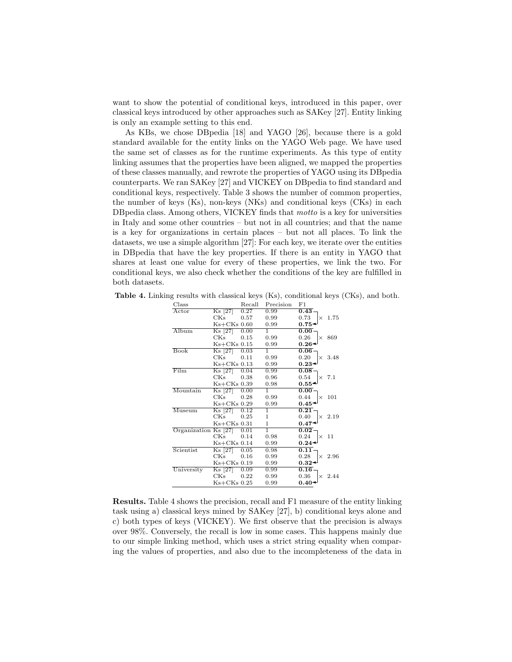want to show the potential of conditional keys, introduced in this paper, over classical keys introduced by other approaches such as SAKey [27]. Entity linking is only an example setting to this end.

As KBs, we chose DBpedia [18] and YAGO [26], because there is a gold standard available for the entity links on the YAGO Web page. We have used the same set of classes as for the runtime experiments. As this type of entity linking assumes that the properties have been aligned, we mapped the properties of these classes manually, and rewrote the properties of YAGO using its DBpedia counterparts. We ran SAKey [27] and VICKEY on DBpedia to find standard and conditional keys, respectively. Table 3 shows the number of common properties, the number of keys (Ks), non-keys (NKs) and conditional keys (CKs) in each DBpedia class. Among others, VICKEY finds that motto is a key for universities in Italy and some other countries – but not in all countries; and that the name is a key for organizations in certain places – but not all places. To link the datasets, we use a simple algorithm [27]: For each key, we iterate over the entities in DBpedia that have the key properties. If there is an entity in YAGO that shares at least one value for every of these properties, we link the two. For conditional keys, we also check whether the conditions of the key are fulfilled in both datasets.

| <b>Table 4.</b> Linking results with classical keys (Ks), conditional keys (CKs), and both. |
|---------------------------------------------------------------------------------------------|
|---------------------------------------------------------------------------------------------|

| Class                  |                 | Recall | Precision      | $_{\rm F1}$       |      |
|------------------------|-----------------|--------|----------------|-------------------|------|
| Actor                  | Ks [27]         | 0.27   | 0.99           | 0.43 <sup>5</sup> |      |
|                        | CKs             | 0.57   | 0.99           | 0.73<br>$\times$  | 1.75 |
|                        | $Ks + CKs$ 0.60 |        | 0.99           | $0.75 -$          |      |
| $\overline{\rm Album}$ | Ks [27]         | 0.00   | ī              | $0.00^{-}$        |      |
|                        | CKs             | 0.15   | 0.99           | 0.26<br>$\times$  | 869  |
|                        | $Ks + CKs$ 0.15 |        | 0.99           | $0.26 -$          |      |
| <b>Book</b>            | Ks [27]         | 0.03   | 1              | 0.06              |      |
|                        | CKs             | 0.11   | 0.99           | 0.20<br>X         | 3.48 |
|                        | $Ks + CKs$ 0.13 |        | 0.99           | $0.23-$           |      |
| Film                   | Ks [27]         | 0.04   | 0.99           | $0.08 -$          |      |
|                        | CKs             | 0.38   | 0.96           | 0.54<br>$\times$  | 7.1  |
|                        | $Ks + CKs$ 0.39 |        | 0.98           | $0.55 -$          |      |
| Mountain               | Ks 27           | 0.00   | T              | 0.00 <sub>1</sub> |      |
|                        | CKs             | 0.28   | 0.99           | 0.44<br>$\times$  | 101  |
|                        | $Ks + CKs$ 0.29 |        | 0.99           | $0.45 -$          |      |
| Museum                 | Ks [27]         | 0.12   | $\overline{1}$ | 0.21              |      |
|                        | CKs             | 0.25   | 1              | 0.40<br>X         | 2.19 |
|                        | $Ks + CKs$ 0.31 |        | 1              | $0.47 -$          |      |
| Organization Ks [27]   |                 | 0.01   | T              | $\overline{0.02}$ |      |
|                        | CKs             | 0.14   | 0.98           | 0.24<br>X         | 11   |
|                        | $Ks + CKs$ 0.14 |        | 0.99           | $0.24 -$          |      |
| Scientist              | Ks [27]         | 0.05   | 0.98           | $\overline{0.11}$ |      |
|                        | CKs             | 0.16   | 0.99           | 0.28<br>X         | 2.96 |
|                        | $Ks + CKs$ 0.19 |        | 0.99           | $0.32 -$          |      |
| University             | Ks [27]         | 0.09   | 0.99           | $0.16 -$          |      |
|                        | CKs             | 0.22   | 0.99           | 0.36<br>$\times$  | 2.44 |
|                        | $Ks + CKs$ 0.25 |        | 0.99           | $0.40 -$          |      |

Results. Table 4 shows the precision, recall and F1 measure of the entity linking task using a) classical keys mined by SAKey [27], b) conditional keys alone and c) both types of keys (VICKEY). We first observe that the precision is always over 98%. Conversely, the recall is low in some cases. This happens mainly due to our simple linking method, which uses a strict string equality when comparing the values of properties, and also due to the incompleteness of the data in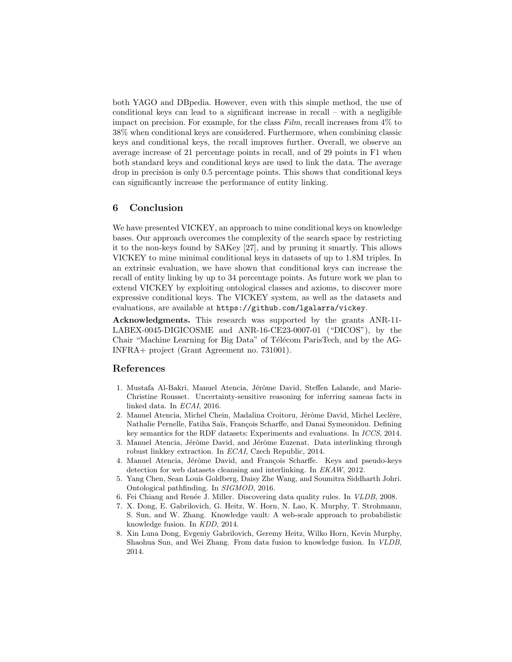both YAGO and DBpedia. However, even with this simple method, the use of conditional keys can lead to a significant increase in recall – with a negligible impact on precision. For example, for the class  $Film$ , recall increases from  $4\%$  to 38% when conditional keys are considered. Furthermore, when combining classic keys and conditional keys, the recall improves further. Overall, we observe an average increase of 21 percentage points in recall, and of 29 points in F1 when both standard keys and conditional keys are used to link the data. The average drop in precision is only 0.5 percentage points. This shows that conditional keys can significantly increase the performance of entity linking.

## 6 Conclusion

We have presented VICKEY, an approach to mine conditional keys on knowledge bases. Our approach overcomes the complexity of the search space by restricting it to the non-keys found by SAKey [27], and by pruning it smartly. This allows VICKEY to mine minimal conditional keys in datasets of up to 1.8M triples. In an extrinsic evaluation, we have shown that conditional keys can increase the recall of entity linking by up to 34 percentage points. As future work we plan to extend VICKEY by exploiting ontological classes and axioms, to discover more expressive conditional keys. The VICKEY system, as well as the datasets and evaluations, are available at https://github.com/lgalarra/vickey.

Acknowledgments. This research was supported by the grants ANR-11- LABEX-0045-DIGICOSME and ANR-16-CE23-0007-01 ("DICOS"), by the Chair "Machine Learning for Big Data" of Télécom ParisTech, and by the AG-INFRA+ project (Grant Agreement no. 731001).

## References

- 1. Mustafa Al-Bakri, Manuel Atencia, Jérôme David, Steffen Lalande, and Marie-Christine Rousset. Uncertainty-sensitive reasoning for inferring sameas facts in linked data. In ECAI, 2016.
- 2. Manuel Atencia, Michel Chein, Madalina Croitoru, Jérôme David, Michel Leclère, Nathalie Pernelle, Fatiha Saïs, François Scharffe, and Danai Symeonidou. Defining key semantics for the RDF datasets: Experiments and evaluations. In ICCS, 2014.
- 3. Manuel Atencia, Jérôme David, and Jérôme Euzenat. Data interlinking through robust linkkey extraction. In ECAI, Czech Republic, 2014.
- 4. Manuel Atencia, Jérôme David, and François Scharffe. Keys and pseudo-keys detection for web datasets cleansing and interlinking. In EKAW, 2012.
- 5. Yang Chen, Sean Louis Goldberg, Daisy Zhe Wang, and Soumitra Siddharth Johri. Ontological pathfinding. In SIGMOD, 2016.
- 6. Fei Chiang and Renée J. Miller. Discovering data quality rules. In *VLDB*, 2008.
- 7. X. Dong, E. Gabrilovich, G. Heitz, W. Horn, N. Lao, K. Murphy, T. Strohmann, S. Sun, and W. Zhang. Knowledge vault: A web-scale approach to probabilistic knowledge fusion. In KDD, 2014.
- 8. Xin Luna Dong, Evgeniy Gabrilovich, Geremy Heitz, Wilko Horn, Kevin Murphy, Shaohua Sun, and Wei Zhang. From data fusion to knowledge fusion. In VLDB, 2014.